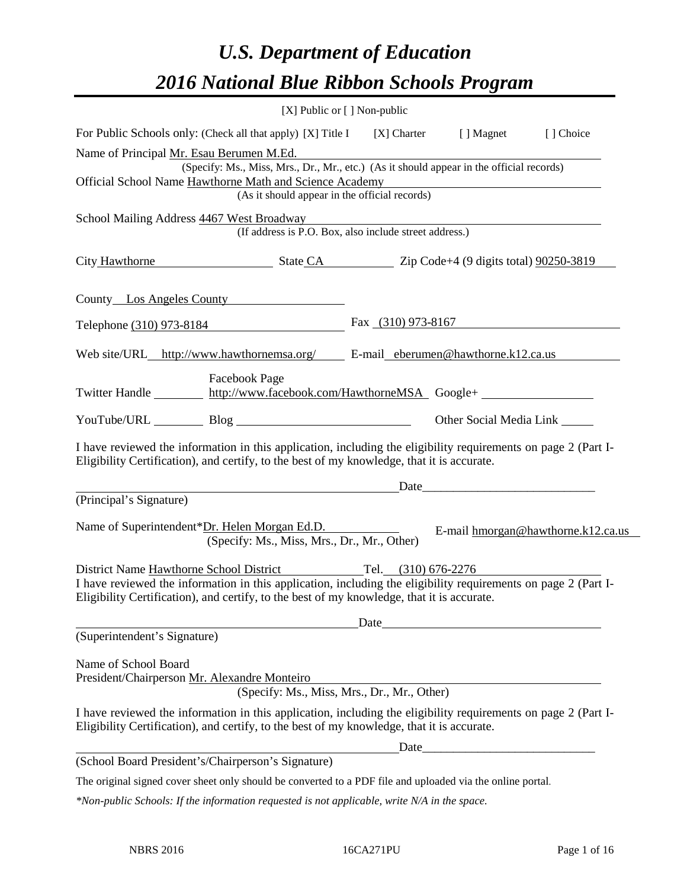# *U.S. Department of Education 2016 National Blue Ribbon Schools Program*

|                                                                                                                                                                                                              | [X] Public or [] Non-public |                                                       |                                    |
|--------------------------------------------------------------------------------------------------------------------------------------------------------------------------------------------------------------|-----------------------------|-------------------------------------------------------|------------------------------------|
| For Public Schools only: (Check all that apply) [X] Title I [X] Charter [] Magnet                                                                                                                            |                             |                                                       | [] Choice                          |
| Name of Principal Mr. Esau Berumen M.Ed.<br>(Specify: Ms., Miss, Mrs., Dr., Mr., etc.) (As it should appear in the official records)<br>Official School Name Hawthorne Math and Science Academy              |                             |                                                       |                                    |
| (As it should appear in the official records)                                                                                                                                                                |                             | <u> 1989 - Johann Stein, fransk politik (d. 1989)</u> |                                    |
| School Mailing Address $\frac{4467 \text{ West Broadway}}{(\text{If address is P.O. Box, also include street address.})}$                                                                                    |                             |                                                       |                                    |
| City Hawthorne State CA Zip Code+4 (9 digits total) 90250-3819                                                                                                                                               |                             |                                                       |                                    |
| County Los Angeles County                                                                                                                                                                                    |                             |                                                       |                                    |
| Telephone (310) 973-8184                                                                                                                                                                                     |                             | Fax $(310)$ 973-8167                                  |                                    |
| Web site/URL_http://www.hawthornemsa.org/ E-mail_eberumen@hawthorne.k12.ca.us                                                                                                                                |                             |                                                       |                                    |
| <b>Facebook Page</b><br>Twitter Handle http://www.facebook.com/HawthorneMSA Google+                                                                                                                          |                             |                                                       |                                    |
| YouTube/URL Blog Blog                                                                                                                                                                                        |                             | Other Social Media Link _______                       |                                    |
| I have reviewed the information in this application, including the eligibility requirements on page 2 (Part I-<br>Eligibility Certification), and certify, to the best of my knowledge, that it is accurate. |                             |                                                       |                                    |
| <u>Date</u> Date <u>Date</u>                                                                                                                                                                                 |                             |                                                       |                                    |
| (Principal's Signature)                                                                                                                                                                                      |                             |                                                       |                                    |
| Name of Superintendent*Dr. Helen Morgan Ed.D.<br>(Specify: Ms., Miss, Mrs., Dr., Mr., Other)                                                                                                                 |                             |                                                       | E-mail hmorgan@hawthorne.k12.ca.us |
| District Name Hawthorne School District Tel. (310) 676-2276                                                                                                                                                  |                             |                                                       |                                    |
| I have reviewed the information in this application, including the eligibility requirements on page 2 (Part I-<br>Eligibility Certification), and certify, to the best of my knowledge, that it is accurate. |                             |                                                       |                                    |
|                                                                                                                                                                                                              | Date                        |                                                       |                                    |
| (Superintendent's Signature)                                                                                                                                                                                 |                             |                                                       |                                    |
| Name of School Board<br>President/Chairperson Mr. Alexandre Monteiro<br>(Specify: Ms., Miss, Mrs., Dr., Mr., Other)                                                                                          |                             |                                                       |                                    |
| I have reviewed the information in this application, including the eligibility requirements on page 2 (Part I-<br>Eligibility Certification), and certify, to the best of my knowledge, that it is accurate. |                             |                                                       |                                    |
|                                                                                                                                                                                                              | Date                        |                                                       |                                    |
| (School Board President's/Chairperson's Signature)<br>The original signed cover sheet only should be converted to a PDF file and uploaded via the online portal.                                             |                             |                                                       |                                    |
| *Non-public Schools: If the information requested is not applicable, write N/A in the space.                                                                                                                 |                             |                                                       |                                    |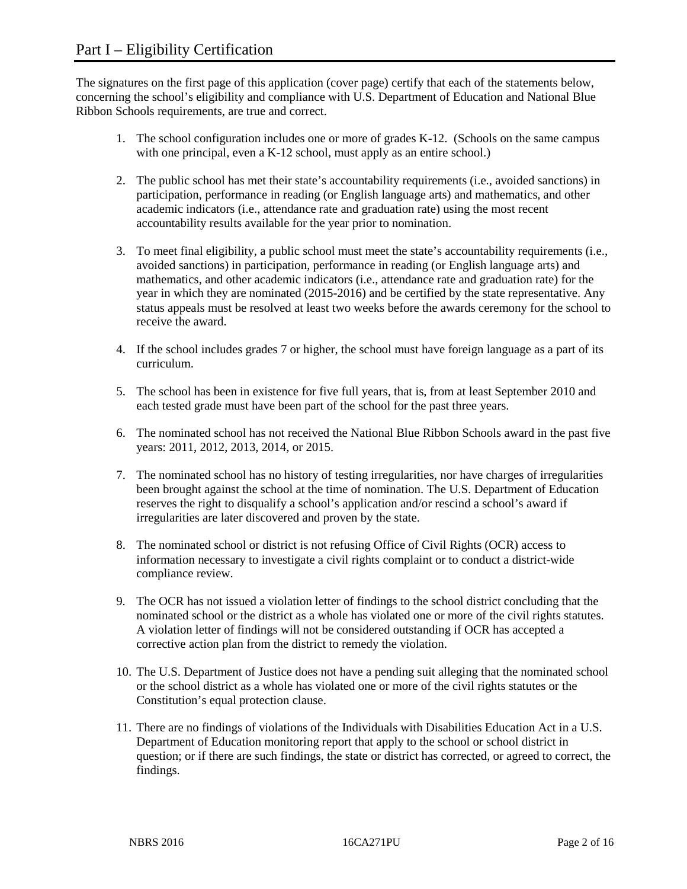The signatures on the first page of this application (cover page) certify that each of the statements below, concerning the school's eligibility and compliance with U.S. Department of Education and National Blue Ribbon Schools requirements, are true and correct.

- 1. The school configuration includes one or more of grades K-12. (Schools on the same campus with one principal, even a K-12 school, must apply as an entire school.)
- 2. The public school has met their state's accountability requirements (i.e., avoided sanctions) in participation, performance in reading (or English language arts) and mathematics, and other academic indicators (i.e., attendance rate and graduation rate) using the most recent accountability results available for the year prior to nomination.
- 3. To meet final eligibility, a public school must meet the state's accountability requirements (i.e., avoided sanctions) in participation, performance in reading (or English language arts) and mathematics, and other academic indicators (i.e., attendance rate and graduation rate) for the year in which they are nominated (2015-2016) and be certified by the state representative. Any status appeals must be resolved at least two weeks before the awards ceremony for the school to receive the award.
- 4. If the school includes grades 7 or higher, the school must have foreign language as a part of its curriculum.
- 5. The school has been in existence for five full years, that is, from at least September 2010 and each tested grade must have been part of the school for the past three years.
- 6. The nominated school has not received the National Blue Ribbon Schools award in the past five years: 2011, 2012, 2013, 2014, or 2015.
- 7. The nominated school has no history of testing irregularities, nor have charges of irregularities been brought against the school at the time of nomination. The U.S. Department of Education reserves the right to disqualify a school's application and/or rescind a school's award if irregularities are later discovered and proven by the state.
- 8. The nominated school or district is not refusing Office of Civil Rights (OCR) access to information necessary to investigate a civil rights complaint or to conduct a district-wide compliance review.
- 9. The OCR has not issued a violation letter of findings to the school district concluding that the nominated school or the district as a whole has violated one or more of the civil rights statutes. A violation letter of findings will not be considered outstanding if OCR has accepted a corrective action plan from the district to remedy the violation.
- 10. The U.S. Department of Justice does not have a pending suit alleging that the nominated school or the school district as a whole has violated one or more of the civil rights statutes or the Constitution's equal protection clause.
- 11. There are no findings of violations of the Individuals with Disabilities Education Act in a U.S. Department of Education monitoring report that apply to the school or school district in question; or if there are such findings, the state or district has corrected, or agreed to correct, the findings.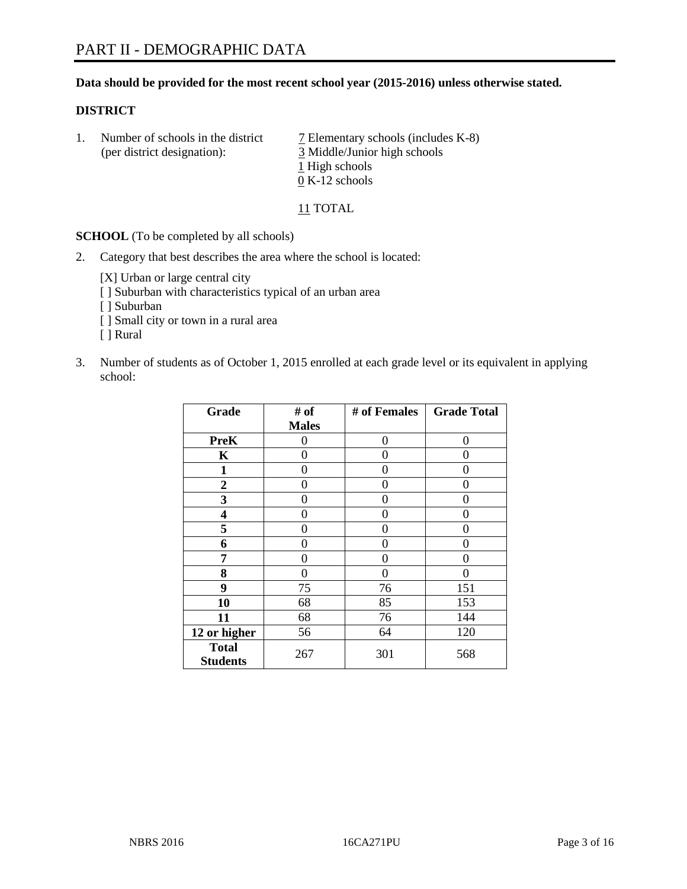#### **Data should be provided for the most recent school year (2015-2016) unless otherwise stated.**

#### **DISTRICT**

1. Number of schools in the district  $\overline{7}$  Elementary schools (includes K-8) (per district designation): 3 Middle/Junior high schools 1 High schools 0 K-12 schools

11 TOTAL

**SCHOOL** (To be completed by all schools)

2. Category that best describes the area where the school is located:

[X] Urban or large central city [ ] Suburban with characteristics typical of an urban area [ ] Suburban [ ] Small city or town in a rural area [ ] Rural

3. Number of students as of October 1, 2015 enrolled at each grade level or its equivalent in applying school:

| Grade                           | # of         | # of Females | <b>Grade Total</b> |
|---------------------------------|--------------|--------------|--------------------|
|                                 | <b>Males</b> |              |                    |
| <b>PreK</b>                     | 0            | $\theta$     | 0                  |
| K                               | 0            | 0            | 0                  |
| $\mathbf{1}$                    | 0            | 0            | 0                  |
| $\overline{2}$                  | 0            | 0            | 0                  |
| 3                               | 0            | 0            | $\theta$           |
| 4                               | 0            | 0            | 0                  |
| 5                               | 0            | 0            | 0                  |
| 6                               | 0            | 0            | 0                  |
| 7                               | 0            | 0            | 0                  |
| 8                               | 0            | 0            | 0                  |
| 9                               | 75           | 76           | 151                |
| 10                              | 68           | 85           | 153                |
| 11                              | 68           | 76           | 144                |
| 12 or higher                    | 56           | 64           | 120                |
| <b>Total</b><br><b>Students</b> | 267          | 301          | 568                |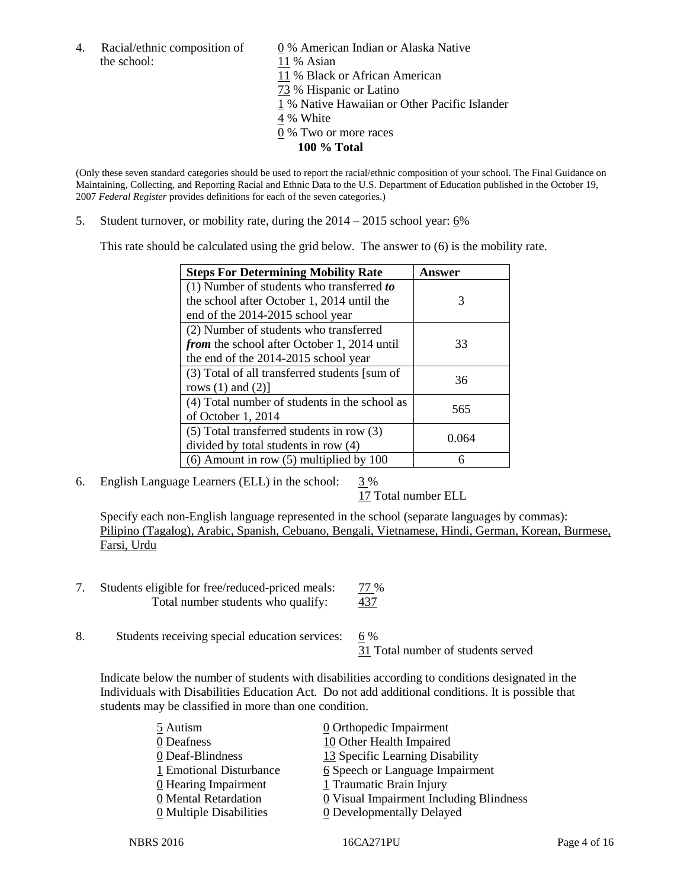the school: 11 % Asian

4. Racial/ethnic composition of  $\underline{0}$  % American Indian or Alaska Native 11 % Black or African American 73 % Hispanic or Latino 1 % Native Hawaiian or Other Pacific Islander 4 % White 0 % Two or more races **100 % Total**

(Only these seven standard categories should be used to report the racial/ethnic composition of your school. The Final Guidance on Maintaining, Collecting, and Reporting Racial and Ethnic Data to the U.S. Department of Education published in the October 19, 2007 *Federal Register* provides definitions for each of the seven categories.)

5. Student turnover, or mobility rate, during the  $2014 - 2015$  school year:  $6\%$ 

This rate should be calculated using the grid below. The answer to (6) is the mobility rate.

| <b>Steps For Determining Mobility Rate</b>         | Answer |  |
|----------------------------------------------------|--------|--|
| (1) Number of students who transferred to          |        |  |
| the school after October 1, 2014 until the         | 3      |  |
| end of the 2014-2015 school year                   |        |  |
| (2) Number of students who transferred             |        |  |
| <i>from</i> the school after October 1, 2014 until | 33     |  |
| the end of the 2014-2015 school year               |        |  |
| (3) Total of all transferred students [sum of      | 36     |  |
| rows $(1)$ and $(2)$ ]                             |        |  |
| (4) Total number of students in the school as      | 565    |  |
| of October 1, 2014                                 |        |  |
| (5) Total transferred students in row (3)          | 0.064  |  |
| divided by total students in row (4)               |        |  |
| $(6)$ Amount in row $(5)$ multiplied by 100        | 6      |  |

6. English Language Learners (ELL) in the school:  $3\%$ 

17 Total number ELL

Specify each non-English language represented in the school (separate languages by commas): Pilipino (Tagalog), Arabic, Spanish, Cebuano, Bengali, Vietnamese, Hindi, German, Korean, Burmese, Farsi, Urdu

- 7. Students eligible for free/reduced-priced meals: 77 % Total number students who qualify: 437
- 8. Students receiving special education services: 6 %

31 Total number of students served

Indicate below the number of students with disabilities according to conditions designated in the Individuals with Disabilities Education Act. Do not add additional conditions. It is possible that students may be classified in more than one condition.

| 0 Orthopedic Impairment                   |
|-------------------------------------------|
| 10 Other Health Impaired                  |
| 13 Specific Learning Disability           |
| 6 Speech or Language Impairment           |
| 1 Traumatic Brain Injury                  |
| $Q$ Visual Impairment Including Blindness |
| 0 Developmentally Delayed                 |
|                                           |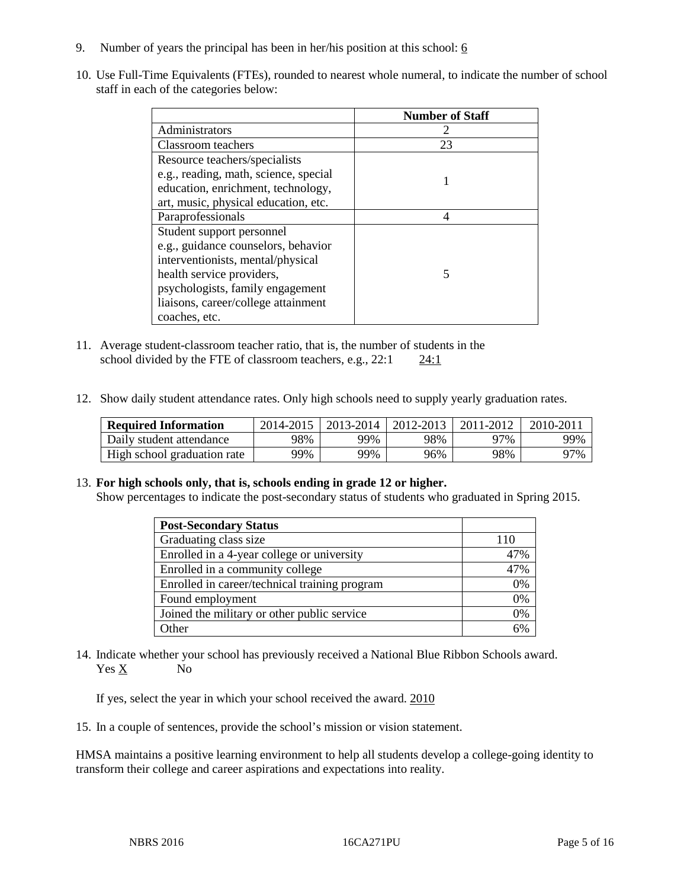- 9. Number of years the principal has been in her/his position at this school:  $6$
- 10. Use Full-Time Equivalents (FTEs), rounded to nearest whole numeral, to indicate the number of school staff in each of the categories below:

|                                       | <b>Number of Staff</b> |
|---------------------------------------|------------------------|
| Administrators                        |                        |
| Classroom teachers                    | 23                     |
| Resource teachers/specialists         |                        |
| e.g., reading, math, science, special |                        |
| education, enrichment, technology,    |                        |
| art, music, physical education, etc.  |                        |
| Paraprofessionals                     |                        |
| Student support personnel             |                        |
| e.g., guidance counselors, behavior   |                        |
| interventionists, mental/physical     |                        |
| health service providers,             |                        |
| psychologists, family engagement      |                        |
| liaisons, career/college attainment   |                        |
| coaches, etc.                         |                        |

- 11. Average student-classroom teacher ratio, that is, the number of students in the school divided by the FTE of classroom teachers, e.g.,  $22:1$   $24:1$
- 12. Show daily student attendance rates. Only high schools need to supply yearly graduation rates.

| <b>Required Information</b> | 2014-2015 | 2013-2014 1 | 2012-2013 | 2011-2012 | 2010-2011 |
|-----------------------------|-----------|-------------|-----------|-----------|-----------|
| Daily student attendance    | 98%       | 99%         | 98%       | 97%       | 99%       |
| High school graduation rate | 99%       | 99%         | 96%       | 98%       | 97%       |

#### 13. **For high schools only, that is, schools ending in grade 12 or higher.**

Show percentages to indicate the post-secondary status of students who graduated in Spring 2015.

| <b>Post-Secondary Status</b>                  |     |
|-----------------------------------------------|-----|
| Graduating class size                         | 110 |
| Enrolled in a 4-year college or university    | 47% |
| Enrolled in a community college               | 47% |
| Enrolled in career/technical training program | 0%  |
| Found employment                              | 0%  |
| Joined the military or other public service   | 0%  |
| Other                                         | 60/ |

14. Indicate whether your school has previously received a National Blue Ribbon Schools award. Yes X No

If yes, select the year in which your school received the award. 2010

15. In a couple of sentences, provide the school's mission or vision statement.

HMSA maintains a positive learning environment to help all students develop a college-going identity to transform their college and career aspirations and expectations into reality.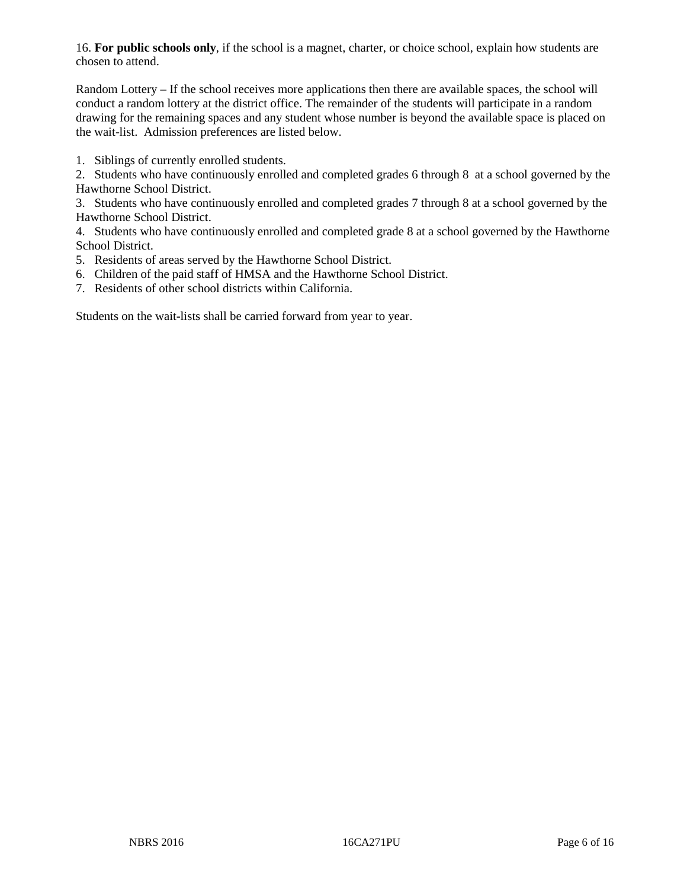16. **For public schools only**, if the school is a magnet, charter, or choice school, explain how students are chosen to attend.

Random Lottery – If the school receives more applications then there are available spaces, the school will conduct a random lottery at the district office. The remainder of the students will participate in a random drawing for the remaining spaces and any student whose number is beyond the available space is placed on the wait-list. Admission preferences are listed below.

1. Siblings of currently enrolled students.

2. Students who have continuously enrolled and completed grades 6 through 8 at a school governed by the Hawthorne School District.

3. Students who have continuously enrolled and completed grades 7 through 8 at a school governed by the Hawthorne School District.

4. Students who have continuously enrolled and completed grade 8 at a school governed by the Hawthorne School District.

5. Residents of areas served by the Hawthorne School District.

- 6. Children of the paid staff of HMSA and the Hawthorne School District.
- 7. Residents of other school districts within California.

Students on the wait-lists shall be carried forward from year to year.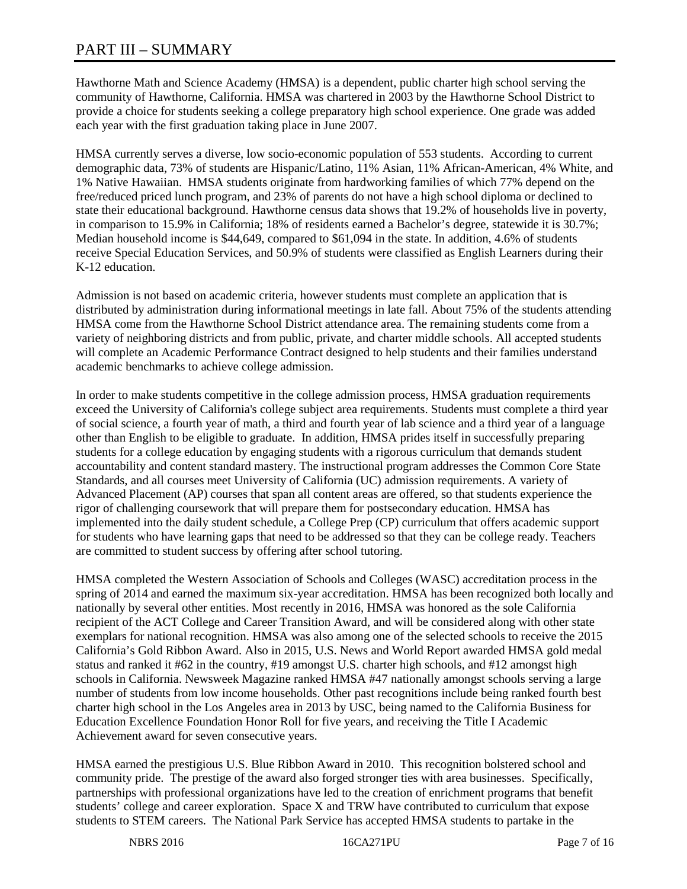# PART III – SUMMARY

Hawthorne Math and Science Academy (HMSA) is a dependent, public charter high school serving the community of Hawthorne, California. HMSA was chartered in 2003 by the Hawthorne School District to provide a choice for students seeking a college preparatory high school experience. One grade was added each year with the first graduation taking place in June 2007.

HMSA currently serves a diverse, low socio-economic population of 553 students. According to current demographic data, 73% of students are Hispanic/Latino, 11% Asian, 11% African-American, 4% White, and 1% Native Hawaiian. HMSA students originate from hardworking families of which 77% depend on the free/reduced priced lunch program, and 23% of parents do not have a high school diploma or declined to state their educational background. Hawthorne census data shows that 19.2% of households live in poverty, in comparison to 15.9% in California; 18% of residents earned a Bachelor's degree, statewide it is 30.7%; Median household income is \$44,649, compared to \$61,094 in the state. In addition, 4.6% of students receive Special Education Services, and 50.9% of students were classified as English Learners during their K-12 education.

Admission is not based on academic criteria, however students must complete an application that is distributed by administration during informational meetings in late fall. About 75% of the students attending HMSA come from the Hawthorne School District attendance area. The remaining students come from a variety of neighboring districts and from public, private, and charter middle schools. All accepted students will complete an Academic Performance Contract designed to help students and their families understand academic benchmarks to achieve college admission.

In order to make students competitive in the college admission process, HMSA graduation requirements exceed the University of California's college subject area requirements. Students must complete a third year of social science, a fourth year of math, a third and fourth year of lab science and a third year of a language other than English to be eligible to graduate. In addition, HMSA prides itself in successfully preparing students for a college education by engaging students with a rigorous curriculum that demands student accountability and content standard mastery. The instructional program addresses the Common Core State Standards, and all courses meet University of California (UC) admission requirements. A variety of Advanced Placement (AP) courses that span all content areas are offered, so that students experience the rigor of challenging coursework that will prepare them for postsecondary education. HMSA has implemented into the daily student schedule, a College Prep (CP) curriculum that offers academic support for students who have learning gaps that need to be addressed so that they can be college ready. Teachers are committed to student success by offering after school tutoring.

HMSA completed the Western Association of Schools and Colleges (WASC) accreditation process in the spring of 2014 and earned the maximum six-year accreditation. HMSA has been recognized both locally and nationally by several other entities. Most recently in 2016, HMSA was honored as the sole California recipient of the ACT College and Career Transition Award, and will be considered along with other state exemplars for national recognition. HMSA was also among one of the selected schools to receive the 2015 California's Gold Ribbon Award. Also in 2015, U.S. News and World Report awarded HMSA gold medal status and ranked it #62 in the country, #19 amongst U.S. charter high schools, and #12 amongst high schools in California. Newsweek Magazine ranked HMSA #47 nationally amongst schools serving a large number of students from low income households. Other past recognitions include being ranked fourth best charter high school in the Los Angeles area in 2013 by USC, being named to the California Business for Education Excellence Foundation Honor Roll for five years, and receiving the Title I Academic Achievement award for seven consecutive years.

HMSA earned the prestigious U.S. Blue Ribbon Award in 2010. This recognition bolstered school and community pride. The prestige of the award also forged stronger ties with area businesses. Specifically, partnerships with professional organizations have led to the creation of enrichment programs that benefit students' college and career exploration. Space X and TRW have contributed to curriculum that expose students to STEM careers. The National Park Service has accepted HMSA students to partake in the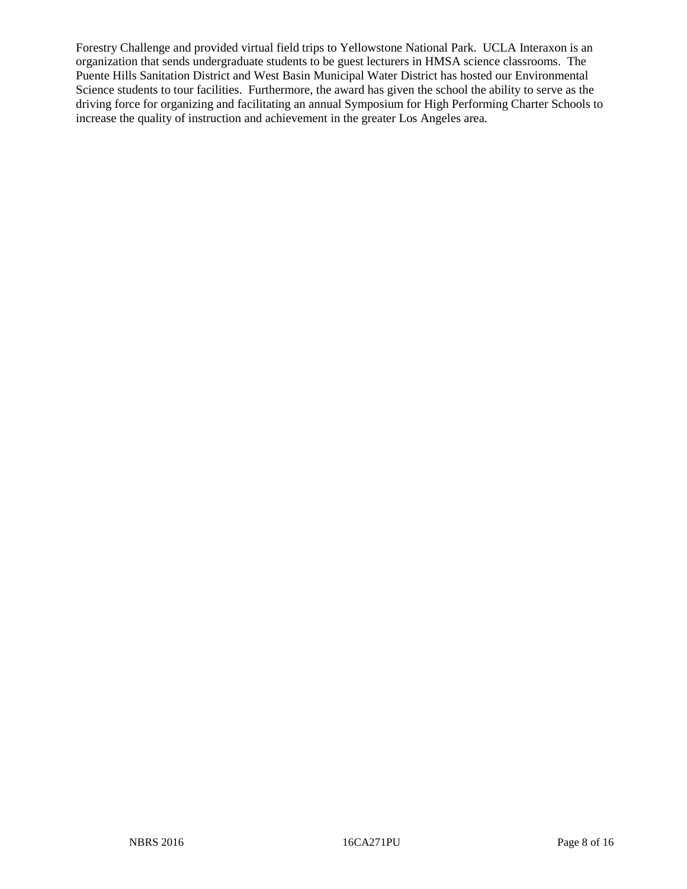Forestry Challenge and provided virtual field trips to Yellowstone National Park. UCLA Interaxon is an organization that sends undergraduate students to be guest lecturers in HMSA science classrooms. The Puente Hills Sanitation District and West Basin Municipal Water District has hosted our Environmental Science students to tour facilities. Furthermore, the award has given the school the ability to serve as the driving force for organizing and facilitating an annual Symposium for High Performing Charter Schools to increase the quality of instruction and achievement in the greater Los Angeles area.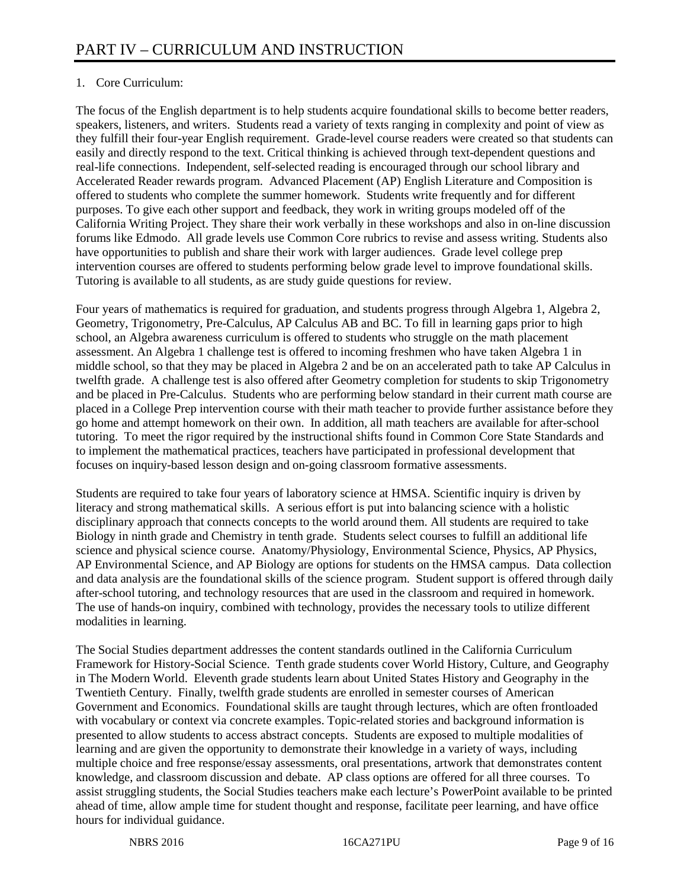# 1. Core Curriculum:

The focus of the English department is to help students acquire foundational skills to become better readers, speakers, listeners, and writers. Students read a variety of texts ranging in complexity and point of view as they fulfill their four-year English requirement. Grade-level course readers were created so that students can easily and directly respond to the text. Critical thinking is achieved through text-dependent questions and real-life connections. Independent, self-selected reading is encouraged through our school library and Accelerated Reader rewards program. Advanced Placement (AP) English Literature and Composition is offered to students who complete the summer homework. Students write frequently and for different purposes. To give each other support and feedback, they work in writing groups modeled off of the California Writing Project. They share their work verbally in these workshops and also in on-line discussion forums like Edmodo. All grade levels use Common Core rubrics to revise and assess writing. Students also have opportunities to publish and share their work with larger audiences. Grade level college prep intervention courses are offered to students performing below grade level to improve foundational skills. Tutoring is available to all students, as are study guide questions for review.

Four years of mathematics is required for graduation, and students progress through Algebra 1, Algebra 2, Geometry, Trigonometry, Pre-Calculus, AP Calculus AB and BC. To fill in learning gaps prior to high school, an Algebra awareness curriculum is offered to students who struggle on the math placement assessment. An Algebra 1 challenge test is offered to incoming freshmen who have taken Algebra 1 in middle school, so that they may be placed in Algebra 2 and be on an accelerated path to take AP Calculus in twelfth grade. A challenge test is also offered after Geometry completion for students to skip Trigonometry and be placed in Pre-Calculus. Students who are performing below standard in their current math course are placed in a College Prep intervention course with their math teacher to provide further assistance before they go home and attempt homework on their own. In addition, all math teachers are available for after-school tutoring. To meet the rigor required by the instructional shifts found in Common Core State Standards and to implement the mathematical practices, teachers have participated in professional development that focuses on inquiry-based lesson design and on-going classroom formative assessments.

Students are required to take four years of laboratory science at HMSA. Scientific inquiry is driven by literacy and strong mathematical skills. A serious effort is put into balancing science with a holistic disciplinary approach that connects concepts to the world around them. All students are required to take Biology in ninth grade and Chemistry in tenth grade. Students select courses to fulfill an additional life science and physical science course. Anatomy/Physiology, Environmental Science, Physics, AP Physics, AP Environmental Science, and AP Biology are options for students on the HMSA campus. Data collection and data analysis are the foundational skills of the science program. Student support is offered through daily after-school tutoring, and technology resources that are used in the classroom and required in homework. The use of hands-on inquiry, combined with technology, provides the necessary tools to utilize different modalities in learning.

The Social Studies department addresses the content standards outlined in the California Curriculum Framework for History-Social Science. Tenth grade students cover World History, Culture, and Geography in The Modern World. Eleventh grade students learn about United States History and Geography in the Twentieth Century. Finally, twelfth grade students are enrolled in semester courses of American Government and Economics. Foundational skills are taught through lectures, which are often frontloaded with vocabulary or context via concrete examples. Topic-related stories and background information is presented to allow students to access abstract concepts. Students are exposed to multiple modalities of learning and are given the opportunity to demonstrate their knowledge in a variety of ways, including multiple choice and free response/essay assessments, oral presentations, artwork that demonstrates content knowledge, and classroom discussion and debate. AP class options are offered for all three courses. To assist struggling students, the Social Studies teachers make each lecture's PowerPoint available to be printed ahead of time, allow ample time for student thought and response, facilitate peer learning, and have office hours for individual guidance.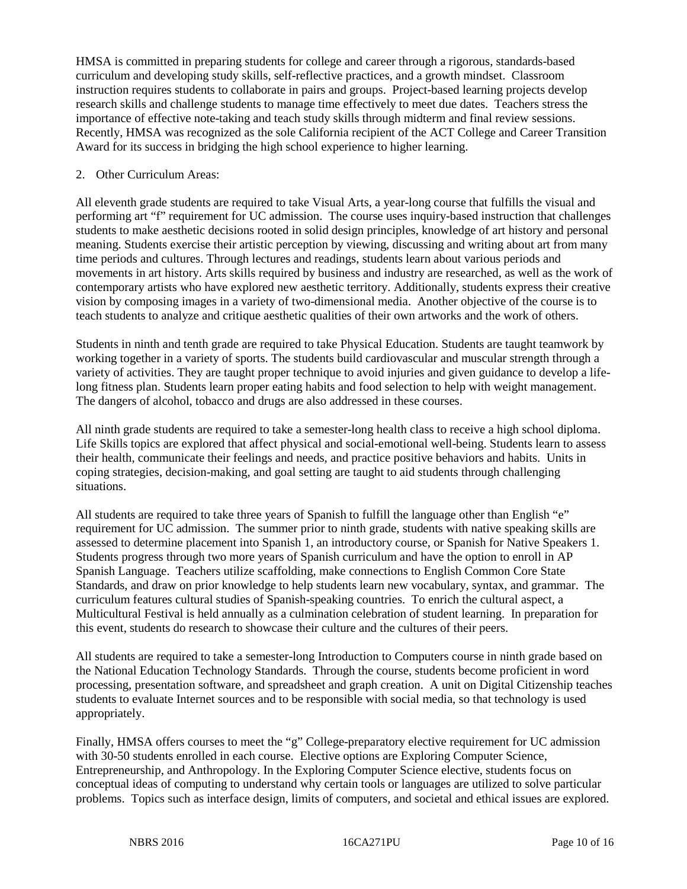HMSA is committed in preparing students for college and career through a rigorous, standards-based curriculum and developing study skills, self-reflective practices, and a growth mindset. Classroom instruction requires students to collaborate in pairs and groups. Project-based learning projects develop research skills and challenge students to manage time effectively to meet due dates. Teachers stress the importance of effective note-taking and teach study skills through midterm and final review sessions. Recently, HMSA was recognized as the sole California recipient of the ACT College and Career Transition Award for its success in bridging the high school experience to higher learning.

#### 2. Other Curriculum Areas:

All eleventh grade students are required to take Visual Arts, a year-long course that fulfills the visual and performing art "f" requirement for UC admission. The course uses inquiry-based instruction that challenges students to make aesthetic decisions rooted in solid design principles, knowledge of art history and personal meaning. Students exercise their artistic perception by viewing, discussing and writing about art from many time periods and cultures. Through lectures and readings, students learn about various periods and movements in art history. Arts skills required by business and industry are researched, as well as the work of contemporary artists who have explored new aesthetic territory. Additionally, students express their creative vision by composing images in a variety of two-dimensional media. Another objective of the course is to teach students to analyze and critique aesthetic qualities of their own artworks and the work of others.

Students in ninth and tenth grade are required to take Physical Education. Students are taught teamwork by working together in a variety of sports. The students build cardiovascular and muscular strength through a variety of activities. They are taught proper technique to avoid injuries and given guidance to develop a lifelong fitness plan. Students learn proper eating habits and food selection to help with weight management. The dangers of alcohol, tobacco and drugs are also addressed in these courses.

All ninth grade students are required to take a semester-long health class to receive a high school diploma. Life Skills topics are explored that affect physical and social-emotional well-being. Students learn to assess their health, communicate their feelings and needs, and practice positive behaviors and habits. Units in coping strategies, decision-making, and goal setting are taught to aid students through challenging situations.

All students are required to take three years of Spanish to fulfill the language other than English "e" requirement for UC admission. The summer prior to ninth grade, students with native speaking skills are assessed to determine placement into Spanish 1, an introductory course, or Spanish for Native Speakers 1. Students progress through two more years of Spanish curriculum and have the option to enroll in AP Spanish Language. Teachers utilize scaffolding, make connections to English Common Core State Standards, and draw on prior knowledge to help students learn new vocabulary, syntax, and grammar. The curriculum features cultural studies of Spanish-speaking countries. To enrich the cultural aspect, a Multicultural Festival is held annually as a culmination celebration of student learning. In preparation for this event, students do research to showcase their culture and the cultures of their peers.

All students are required to take a semester-long Introduction to Computers course in ninth grade based on the National Education Technology Standards. Through the course, students become proficient in word processing, presentation software, and spreadsheet and graph creation. A unit on Digital Citizenship teaches students to evaluate Internet sources and to be responsible with social media, so that technology is used appropriately.

Finally, HMSA offers courses to meet the "g" College-preparatory elective requirement for UC admission with 30-50 students enrolled in each course. Elective options are Exploring Computer Science, Entrepreneurship, and Anthropology. In the Exploring Computer Science elective, students focus on conceptual ideas of computing to understand why certain tools or languages are utilized to solve particular problems. Topics such as interface design, limits of computers, and societal and ethical issues are explored.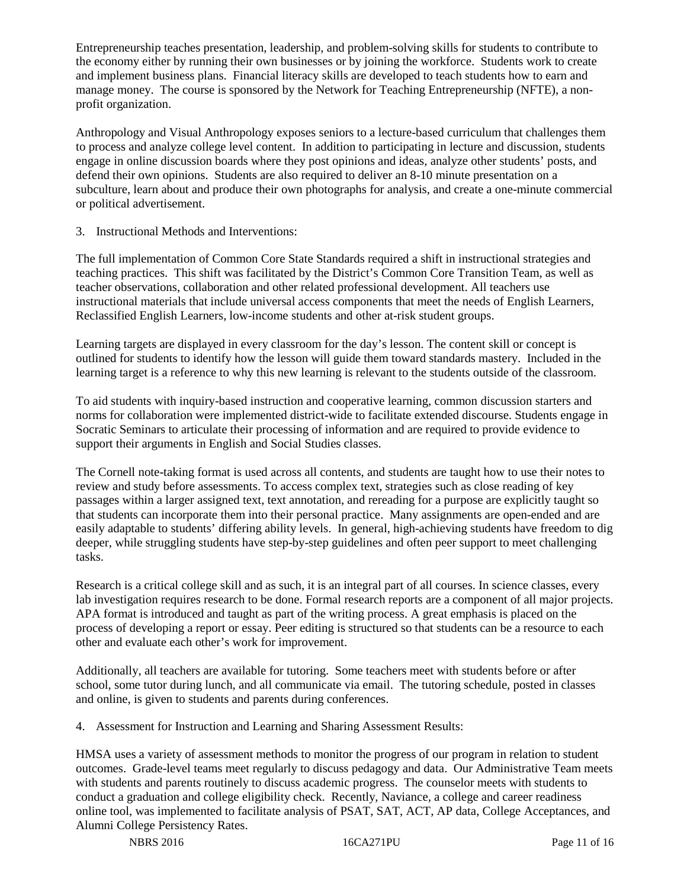Entrepreneurship teaches presentation, leadership, and problem-solving skills for students to contribute to the economy either by running their own businesses or by joining the workforce. Students work to create and implement business plans. Financial literacy skills are developed to teach students how to earn and manage money. The course is sponsored by the Network for Teaching Entrepreneurship (NFTE), a nonprofit organization.

Anthropology and Visual Anthropology exposes seniors to a lecture-based curriculum that challenges them to process and analyze college level content. In addition to participating in lecture and discussion, students engage in online discussion boards where they post opinions and ideas, analyze other students' posts, and defend their own opinions. Students are also required to deliver an 8-10 minute presentation on a subculture, learn about and produce their own photographs for analysis, and create a one-minute commercial or political advertisement.

# 3. Instructional Methods and Interventions:

The full implementation of Common Core State Standards required a shift in instructional strategies and teaching practices. This shift was facilitated by the District's Common Core Transition Team, as well as teacher observations, collaboration and other related professional development. All teachers use instructional materials that include universal access components that meet the needs of English Learners, Reclassified English Learners, low-income students and other at-risk student groups.

Learning targets are displayed in every classroom for the day's lesson. The content skill or concept is outlined for students to identify how the lesson will guide them toward standards mastery. Included in the learning target is a reference to why this new learning is relevant to the students outside of the classroom.

To aid students with inquiry-based instruction and cooperative learning, common discussion starters and norms for collaboration were implemented district-wide to facilitate extended discourse. Students engage in Socratic Seminars to articulate their processing of information and are required to provide evidence to support their arguments in English and Social Studies classes.

The Cornell note-taking format is used across all contents, and students are taught how to use their notes to review and study before assessments. To access complex text, strategies such as close reading of key passages within a larger assigned text, text annotation, and rereading for a purpose are explicitly taught so that students can incorporate them into their personal practice. Many assignments are open-ended and are easily adaptable to students' differing ability levels. In general, high-achieving students have freedom to dig deeper, while struggling students have step-by-step guidelines and often peer support to meet challenging tasks.

Research is a critical college skill and as such, it is an integral part of all courses. In science classes, every lab investigation requires research to be done. Formal research reports are a component of all major projects. APA format is introduced and taught as part of the writing process. A great emphasis is placed on the process of developing a report or essay. Peer editing is structured so that students can be a resource to each other and evaluate each other's work for improvement.

Additionally, all teachers are available for tutoring. Some teachers meet with students before or after school, some tutor during lunch, and all communicate via email. The tutoring schedule, posted in classes and online, is given to students and parents during conferences.

4. Assessment for Instruction and Learning and Sharing Assessment Results:

HMSA uses a variety of assessment methods to monitor the progress of our program in relation to student outcomes. Grade-level teams meet regularly to discuss pedagogy and data. Our Administrative Team meets with students and parents routinely to discuss academic progress. The counselor meets with students to conduct a graduation and college eligibility check. Recently, Naviance, a college and career readiness online tool, was implemented to facilitate analysis of PSAT, SAT, ACT, AP data, College Acceptances, and Alumni College Persistency Rates.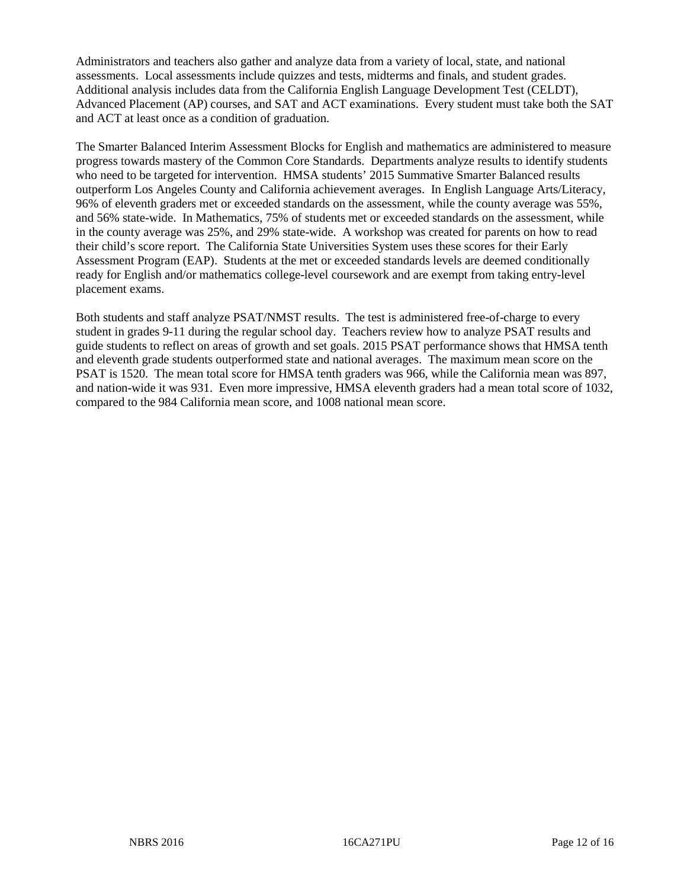Administrators and teachers also gather and analyze data from a variety of local, state, and national assessments. Local assessments include quizzes and tests, midterms and finals, and student grades. Additional analysis includes data from the California English Language Development Test (CELDT), Advanced Placement (AP) courses, and SAT and ACT examinations. Every student must take both the SAT and ACT at least once as a condition of graduation.

The Smarter Balanced Interim Assessment Blocks for English and mathematics are administered to measure progress towards mastery of the Common Core Standards. Departments analyze results to identify students who need to be targeted for intervention. HMSA students' 2015 Summative Smarter Balanced results outperform Los Angeles County and California achievement averages. In English Language Arts/Literacy, 96% of eleventh graders met or exceeded standards on the assessment, while the county average was 55%, and 56% state-wide. In Mathematics, 75% of students met or exceeded standards on the assessment, while in the county average was 25%, and 29% state-wide. A workshop was created for parents on how to read their child's score report. The California State Universities System uses these scores for their Early Assessment Program (EAP). Students at the met or exceeded standards levels are deemed conditionally ready for English and/or mathematics college-level coursework and are exempt from taking entry-level placement exams.

Both students and staff analyze PSAT/NMST results. The test is administered free-of-charge to every student in grades 9-11 during the regular school day. Teachers review how to analyze PSAT results and guide students to reflect on areas of growth and set goals. 2015 PSAT performance shows that HMSA tenth and eleventh grade students outperformed state and national averages. The maximum mean score on the PSAT is 1520. The mean total score for HMSA tenth graders was 966, while the California mean was 897, and nation-wide it was 931. Even more impressive, HMSA eleventh graders had a mean total score of 1032, compared to the 984 California mean score, and 1008 national mean score.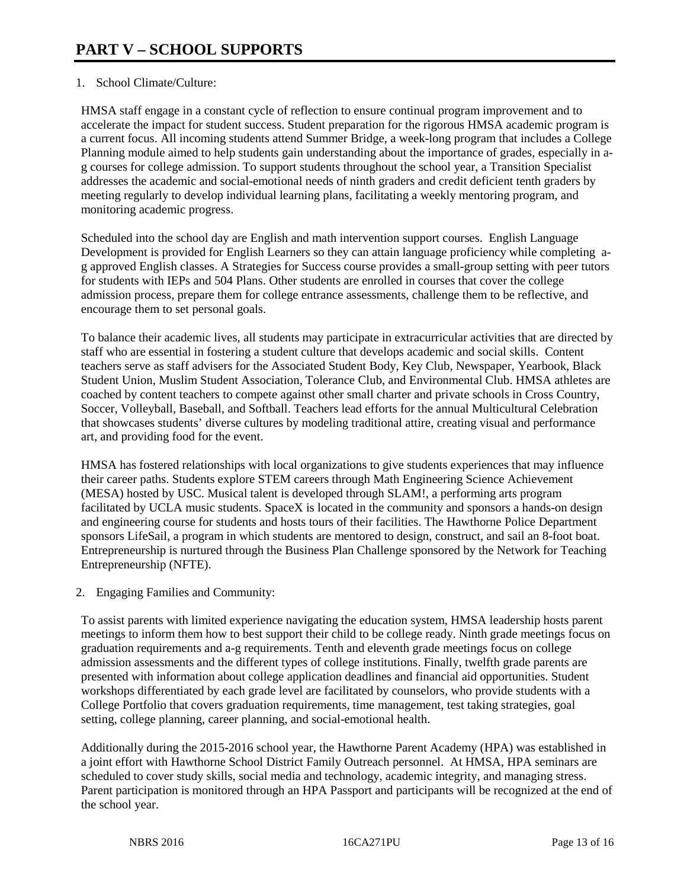## 1. School Climate/Culture:

HMSA staff engage in a constant cycle of reflection to ensure continual program improvement and to accelerate the impact for student success. Student preparation for the rigorous HMSA academic program is a current focus. All incoming students attend Summer Bridge, a week-long program that includes a College Planning module aimed to help students gain understanding about the importance of grades, especially in ag courses for college admission. To support students throughout the school year, a Transition Specialist addresses the academic and social-emotional needs of ninth graders and credit deficient tenth graders by meeting regularly to develop individual learning plans, facilitating a weekly mentoring program, and monitoring academic progress.

Scheduled into the school day are English and math intervention support courses. English Language Development is provided for English Learners so they can attain language proficiency while completing ag approved English classes. A Strategies for Success course provides a small-group setting with peer tutors for students with IEPs and 504 Plans. Other students are enrolled in courses that cover the college admission process, prepare them for college entrance assessments, challenge them to be reflective, and encourage them to set personal goals.

To balance their academic lives, all students may participate in extracurricular activities that are directed by staff who are essential in fostering a student culture that develops academic and social skills. Content teachers serve as staff advisers for the Associated Student Body, Key Club, Newspaper, Yearbook, Black Student Union, Muslim Student Association, Tolerance Club, and Environmental Club. HMSA athletes are coached by content teachers to compete against other small charter and private schools in Cross Country, Soccer, Volleyball, Baseball, and Softball. Teachers lead efforts for the annual Multicultural Celebration that showcases students' diverse cultures by modeling traditional attire, creating visual and performance art, and providing food for the event.

HMSA has fostered relationships with local organizations to give students experiences that may influence their career paths. Students explore STEM careers through Math Engineering Science Achievement (MESA) hosted by USC. Musical talent is developed through SLAM!, a performing arts program facilitated by UCLA music students. SpaceX is located in the community and sponsors a hands-on design and engineering course for students and hosts tours of their facilities. The Hawthorne Police Department sponsors LifeSail, a program in which students are mentored to design, construct, and sail an 8-foot boat. Entrepreneurship is nurtured through the Business Plan Challenge sponsored by the Network for Teaching Entrepreneurship (NFTE).

2. Engaging Families and Community:

To assist parents with limited experience navigating the education system, HMSA leadership hosts parent meetings to inform them how to best support their child to be college ready. Ninth grade meetings focus on graduation requirements and a-g requirements. Tenth and eleventh grade meetings focus on college admission assessments and the different types of college institutions. Finally, twelfth grade parents are presented with information about college application deadlines and financial aid opportunities. Student workshops differentiated by each grade level are facilitated by counselors, who provide students with a College Portfolio that covers graduation requirements, time management, test taking strategies, goal setting, college planning, career planning, and social-emotional health.

Additionally during the 2015-2016 school year, the Hawthorne Parent Academy (HPA) was established in a joint effort with Hawthorne School District Family Outreach personnel. At HMSA, HPA seminars are scheduled to cover study skills, social media and technology, academic integrity, and managing stress. Parent participation is monitored through an HPA Passport and participants will be recognized at the end of the school year.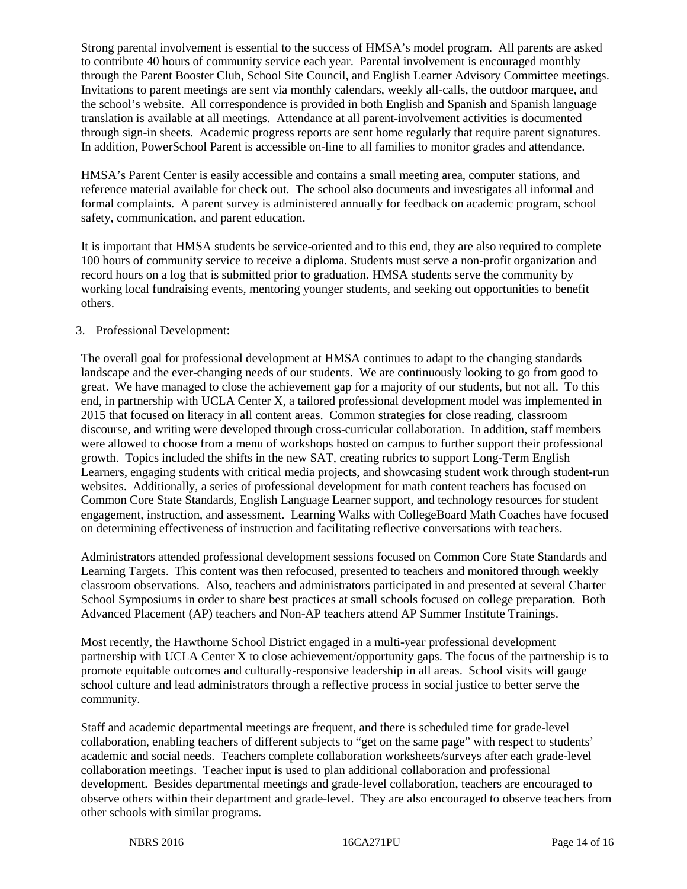Strong parental involvement is essential to the success of HMSA's model program. All parents are asked to contribute 40 hours of community service each year. Parental involvement is encouraged monthly through the Parent Booster Club, School Site Council, and English Learner Advisory Committee meetings. Invitations to parent meetings are sent via monthly calendars, weekly all-calls, the outdoor marquee, and the school's website. All correspondence is provided in both English and Spanish and Spanish language translation is available at all meetings. Attendance at all parent-involvement activities is documented through sign-in sheets. Academic progress reports are sent home regularly that require parent signatures. In addition, PowerSchool Parent is accessible on-line to all families to monitor grades and attendance.

HMSA's Parent Center is easily accessible and contains a small meeting area, computer stations, and reference material available for check out. The school also documents and investigates all informal and formal complaints. A parent survey is administered annually for feedback on academic program, school safety, communication, and parent education.

It is important that HMSA students be service-oriented and to this end, they are also required to complete 100 hours of community service to receive a diploma. Students must serve a non-profit organization and record hours on a log that is submitted prior to graduation. HMSA students serve the community by working local fundraising events, mentoring younger students, and seeking out opportunities to benefit others.

## 3. Professional Development:

The overall goal for professional development at HMSA continues to adapt to the changing standards landscape and the ever-changing needs of our students. We are continuously looking to go from good to great. We have managed to close the achievement gap for a majority of our students, but not all. To this end, in partnership with UCLA Center X, a tailored professional development model was implemented in 2015 that focused on literacy in all content areas. Common strategies for close reading, classroom discourse, and writing were developed through cross-curricular collaboration. In addition, staff members were allowed to choose from a menu of workshops hosted on campus to further support their professional growth. Topics included the shifts in the new SAT, creating rubrics to support Long-Term English Learners, engaging students with critical media projects, and showcasing student work through student-run websites. Additionally, a series of professional development for math content teachers has focused on Common Core State Standards, English Language Learner support, and technology resources for student engagement, instruction, and assessment. Learning Walks with CollegeBoard Math Coaches have focused on determining effectiveness of instruction and facilitating reflective conversations with teachers.

Administrators attended professional development sessions focused on Common Core State Standards and Learning Targets. This content was then refocused, presented to teachers and monitored through weekly classroom observations. Also, teachers and administrators participated in and presented at several Charter School Symposiums in order to share best practices at small schools focused on college preparation. Both Advanced Placement (AP) teachers and Non-AP teachers attend AP Summer Institute Trainings.

Most recently, the Hawthorne School District engaged in a multi-year professional development partnership with UCLA Center X to close achievement/opportunity gaps. The focus of the partnership is to promote equitable outcomes and culturally-responsive leadership in all areas. School visits will gauge school culture and lead administrators through a reflective process in social justice to better serve the community.

Staff and academic departmental meetings are frequent, and there is scheduled time for grade-level collaboration, enabling teachers of different subjects to "get on the same page" with respect to students' academic and social needs. Teachers complete collaboration worksheets/surveys after each grade-level collaboration meetings. Teacher input is used to plan additional collaboration and professional development. Besides departmental meetings and grade-level collaboration, teachers are encouraged to observe others within their department and grade-level. They are also encouraged to observe teachers from other schools with similar programs.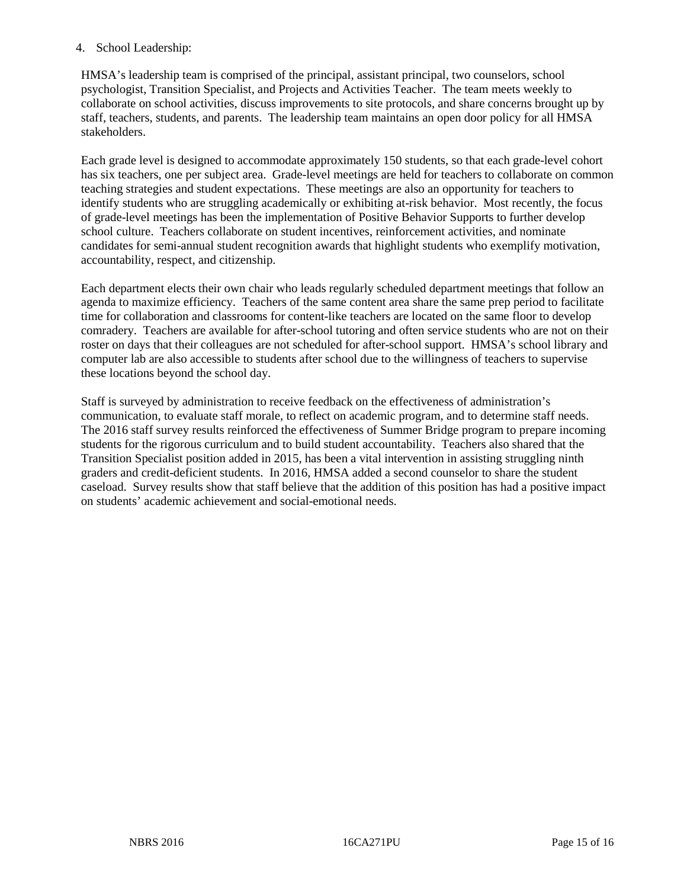#### 4. School Leadership:

HMSA's leadership team is comprised of the principal, assistant principal, two counselors, school psychologist, Transition Specialist, and Projects and Activities Teacher. The team meets weekly to collaborate on school activities, discuss improvements to site protocols, and share concerns brought up by staff, teachers, students, and parents. The leadership team maintains an open door policy for all HMSA stakeholders.

Each grade level is designed to accommodate approximately 150 students, so that each grade-level cohort has six teachers, one per subject area. Grade-level meetings are held for teachers to collaborate on common teaching strategies and student expectations. These meetings are also an opportunity for teachers to identify students who are struggling academically or exhibiting at-risk behavior. Most recently, the focus of grade-level meetings has been the implementation of Positive Behavior Supports to further develop school culture. Teachers collaborate on student incentives, reinforcement activities, and nominate candidates for semi-annual student recognition awards that highlight students who exemplify motivation, accountability, respect, and citizenship.

Each department elects their own chair who leads regularly scheduled department meetings that follow an agenda to maximize efficiency. Teachers of the same content area share the same prep period to facilitate time for collaboration and classrooms for content-like teachers are located on the same floor to develop comradery. Teachers are available for after-school tutoring and often service students who are not on their roster on days that their colleagues are not scheduled for after-school support. HMSA's school library and computer lab are also accessible to students after school due to the willingness of teachers to supervise these locations beyond the school day.

Staff is surveyed by administration to receive feedback on the effectiveness of administration's communication, to evaluate staff morale, to reflect on academic program, and to determine staff needs. The 2016 staff survey results reinforced the effectiveness of Summer Bridge program to prepare incoming students for the rigorous curriculum and to build student accountability. Teachers also shared that the Transition Specialist position added in 2015, has been a vital intervention in assisting struggling ninth graders and credit-deficient students. In 2016, HMSA added a second counselor to share the student caseload. Survey results show that staff believe that the addition of this position has had a positive impact on students' academic achievement and social-emotional needs.